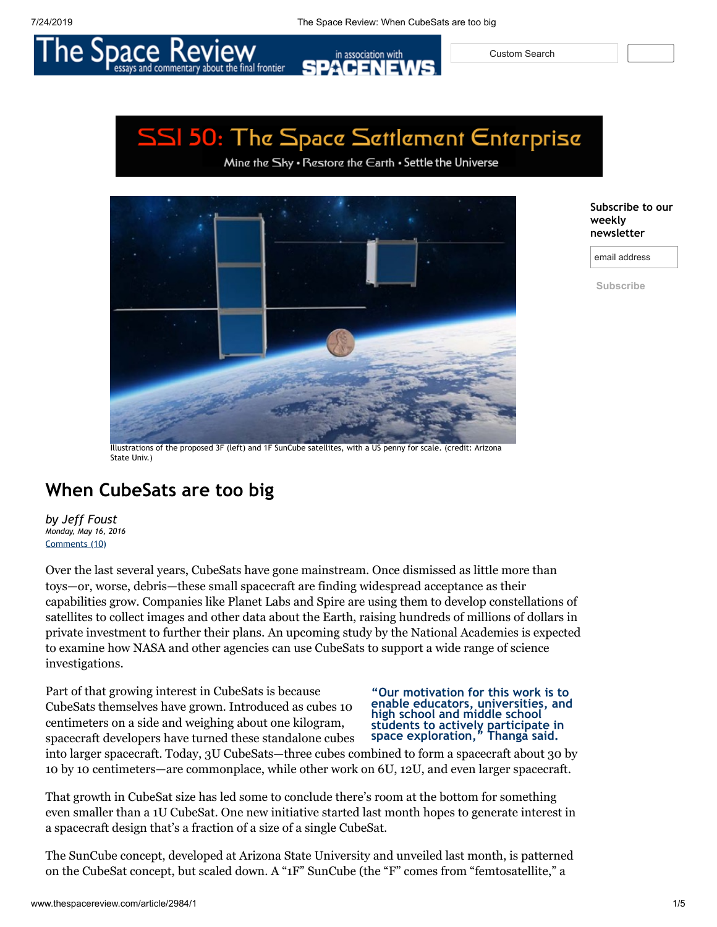in association with

Custom Search

# SSI 50: The Space Settlement Enterprise

ΞN

Mine the Sky . Restore the Earth . Settle the Universe



e final frontier

**Subscribe to our weekly newsletter**

email address

**Subscribe**

Illustrations of the proposed 3F (left) and 1F SunCube satellites, with a US penny for scale. (credit: Arizona State Univ.)

## **When CubeSats are too big**

*by Jeff Foust Monday, May 16, 2016* [Comments](#page-3-0) (10)

Over the last several years, CubeSats have gone mainstream. Once dismissed as little more than toys—or, worse, debris—these small spacecraft are finding widespread acceptance as their capabilities grow. Companies like Planet Labs and Spire are using them to develop constellations of satellites to collect images and other data about the Earth, raising hundreds of millions of dollars in private investment to further their plans. An upcoming study by the National Academies is expected to examine how NASA and other agencies can use CubeSats to support a wide range of science investigations.

Part of that growing interest in CubeSats is because CubeSats themselves have grown. Introduced as cubes 10 centimeters on a side and weighing about one kilogram,

spacecraft developers have turned these standalone cubes

#### **"Our motivation for this work is to enable educators, universities, and high school and middle school students to actively participate in space exploration," Thanga said.**

into larger spacecraft. Today, 3U CubeSats—three cubes combined to form a spacecraft about 30 by 10 by 10 centimeters—are commonplace, while other work on 6U, 12U, and even larger spacecraft.

That growth in CubeSat size has led some to conclude there's room at the bottom for something even smaller than a 1U CubeSat. One new initiative started last month hopes to generate interest in a spacecraft design that's a fraction of a size of a single CubeSat.

The SunCube concept, developed at Arizona State University and unveiled last month, is patterned on the CubeSat concept, but scaled down. A "1F" SunCube (the "F" comes from "femtosatellite," a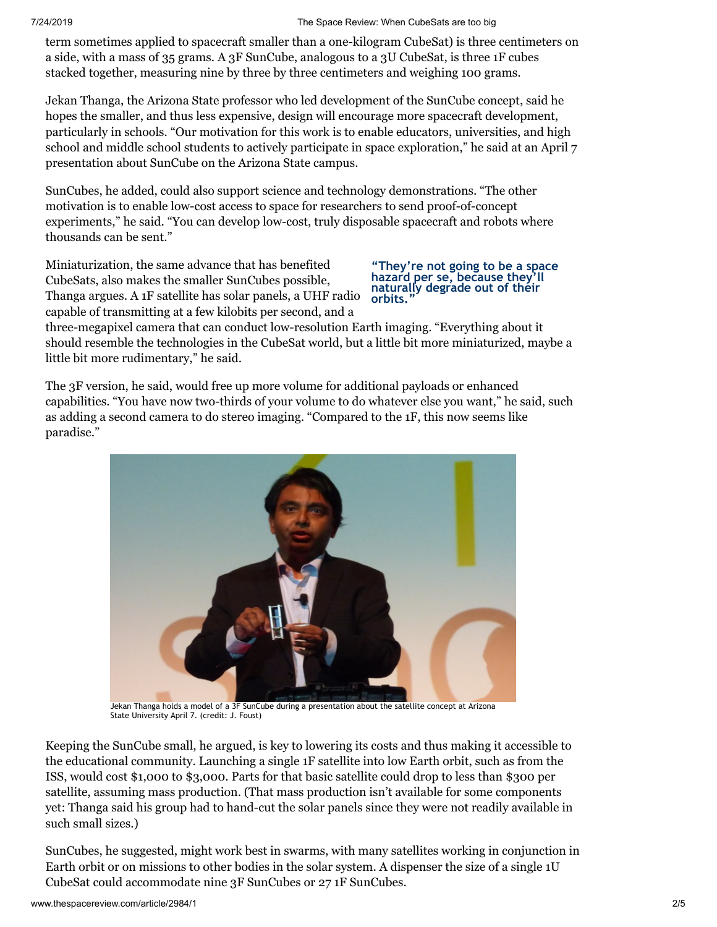term sometimes applied to spacecraft smaller than a one-kilogram CubeSat) is three centimeters on a side, with a mass of 35 grams. A 3F SunCube, analogous to a 3U CubeSat, is three 1F cubes stacked together, measuring nine by three by three centimeters and weighing 100 grams.

Jekan Thanga, the Arizona State professor who led development of the SunCube concept, said he hopes the smaller, and thus less expensive, design will encourage more spacecraft development, particularly in schools. "Our motivation for this work is to enable educators, universities, and high school and middle school students to actively participate in space exploration," he said at an April 7 presentation about SunCube on the Arizona State campus.

SunCubes, he added, could also support science and technology demonstrations. "The other motivation is to enable low-cost access to space for researchers to send proof-of-concept experiments," he said. "You can develop low-cost, truly disposable spacecraft and robots where thousands can be sent."

Miniaturization, the same advance that has benefited CubeSats, also makes the smaller SunCubes possible, Thanga argues. A 1F satellite has solar panels, a UHF radio capable of transmitting at a few kilobits per second, and a

#### **"They're not going to be a space hazard per se, because they'll naturally degrade out of their orbits."**

three-megapixel camera that can conduct low-resolution Earth imaging. "Everything about it should resemble the technologies in the CubeSat world, but a little bit more miniaturized, maybe a little bit more rudimentary," he said.

The 3F version, he said, would free up more volume for additional payloads or enhanced capabilities. "You have now two-thirds of your volume to do whatever else you want," he said, such as adding a second camera to do stereo imaging. "Compared to the 1F, this now seems like paradise."



Jekan Thanga holds a model of a 3F SunCube during a presentation about the satellite concept at Arizona State University April 7. (credit: J. Foust)

Keeping the SunCube small, he argued, is key to lowering its costs and thus making it accessible to the educational community. Launching a single 1F satellite into low Earth orbit, such as from the ISS, would cost \$1,000 to \$3,000. Parts for that basic satellite could drop to less than \$300 per satellite, assuming mass production. (That mass production isn't available for some components yet: Thanga said his group had to hand-cut the solar panels since they were not readily available in such small sizes.)

SunCubes, he suggested, might work best in swarms, with many satellites working in conjunction in Earth orbit or on missions to other bodies in the solar system. A dispenser the size of a single 1U CubeSat could accommodate nine 3F SunCubes or 27 1F SunCubes.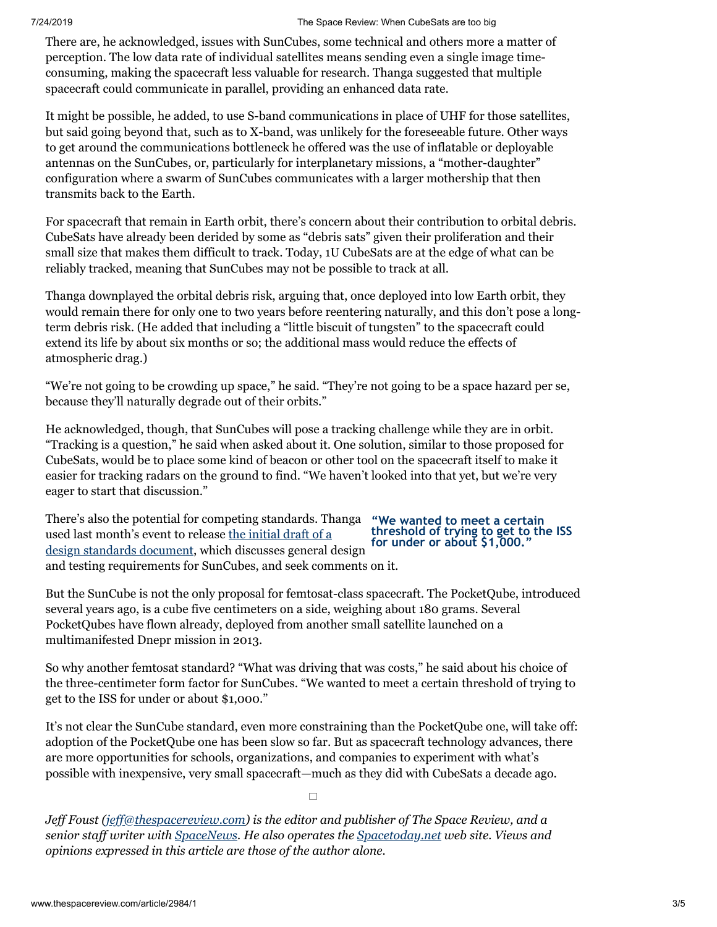There are, he acknowledged, issues with SunCubes, some technical and others more a matter of perception. The low data rate of individual satellites means sending even a single image timeconsuming, making the spacecraft less valuable for research. Thanga suggested that multiple spacecraft could communicate in parallel, providing an enhanced data rate.

It might be possible, he added, to use S-band communications in place of UHF for those satellites, but said going beyond that, such as to X-band, was unlikely for the foreseeable future. Other ways to get around the communications bottleneck he offered was the use of inflatable or deployable antennas on the SunCubes, or, particularly for interplanetary missions, a "mother-daughter" configuration where a swarm of SunCubes communicates with a larger mothership that then transmits back to the Earth.

For spacecraft that remain in Earth orbit, there's concern about their contribution to orbital debris. CubeSats have already been derided by some as "debris sats" given their proliferation and their small size that makes them difficult to track. Today, 1U CubeSats are at the edge of what can be reliably tracked, meaning that SunCubes may not be possible to track at all.

Thanga downplayed the orbital debris risk, arguing that, once deployed into low Earth orbit, they would remain there for only one to two years before reentering naturally, and this don't pose a longterm debris risk. (He added that including a "little biscuit of tungsten" to the spacecraft could extend its life by about six months or so; the additional mass would reduce the effects of atmospheric drag.)

"We're not going to be crowding up space," he said. "They're not going to be a space hazard per se, because they'll naturally degrade out of their orbits."

He acknowledged, though, that SunCubes will pose a tracking challenge while they are in orbit. "Tracking is a question," he said when asked about it. One solution, similar to those proposed for CubeSats, would be to place some kind of beacon or other tool on the spacecraft itself to make it easier for tracking radars on the ground to find. "We haven't looked into that yet, but we're very eager to start that discussion."

There's also the potential for competing standards. Thanga used last month's event to release the initial draft of a [design standards document, which discusses general d](http://femtosat.asu.edu/suncube_femtosat_design_specifications_v1.pdf)esign and testing requirements for SunCubes, and seek comments on it.

### **"We wanted to meet a certain threshold of trying to get to the ISS for under or about \$1,000."**

But the SunCube is not the only proposal for femtosat-class spacecraft. The PocketQube, introduced several years ago, is a cube five centimeters on a side, weighing about 180 grams. Several PocketQubes have flown already, deployed from another small satellite launched on a multimanifested Dnepr mission in 2013.

So why another femtosat standard? "What was driving that was costs," he said about his choice of the three-centimeter form factor for SunCubes. "We wanted to meet a certain threshold of trying to get to the ISS for under or about \$1,000."

It's not clear the SunCube standard, even more constraining than the PocketQube one, will take off: adoption of the PocketQube one has been slow so far. But as spacecraft technology advances, there are more opportunities for schools, organizations, and companies to experiment with what's possible with inexpensive, very small spacecraft—much as they did with CubeSats a decade ago.

 $\Box$ 

*Jeff Foust ([jeff@thespacereview.com\)](mailto:jeff@thespacereview.com) is the editor and publisher of The Space Review, and a senior staff writer with [SpaceNews.](http://www.spacenews.com/) He also operates the [Spacetoday.net](http://www.spacetoday.net/) web site. Views and opinions expressed in this article are those of the author alone.*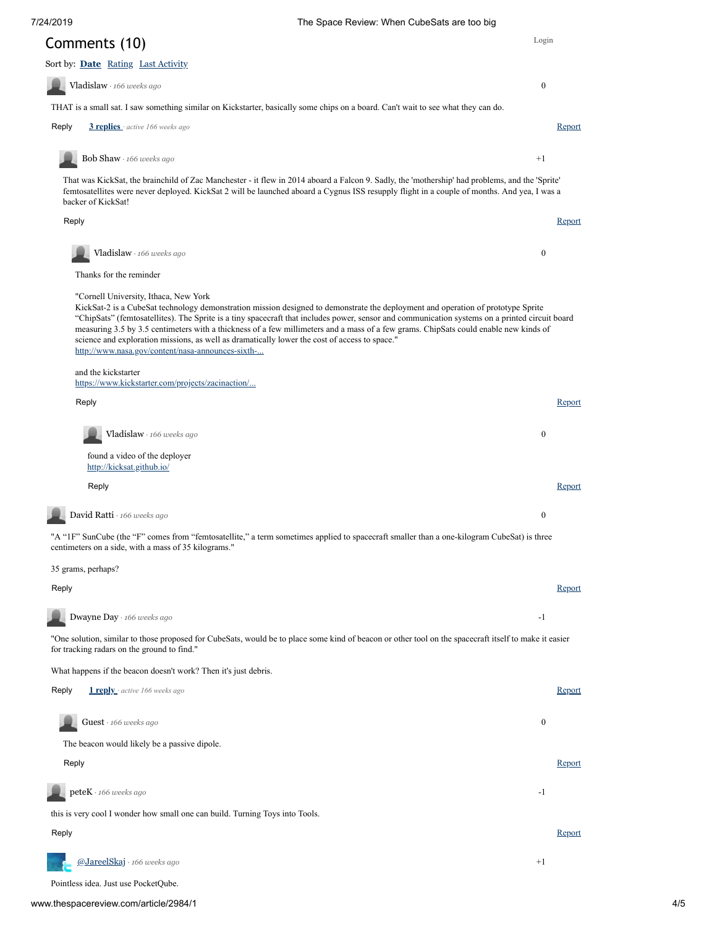[Login](javascript: showLogin();)

<span id="page-3-4"></span><span id="page-3-3"></span><span id="page-3-2"></span><span id="page-3-1"></span><span id="page-3-0"></span>

| Comments (10)                                                                                                                                                                                                                                                                                                                                                                                                                                                                                                                                                                                                             | Login            |
|---------------------------------------------------------------------------------------------------------------------------------------------------------------------------------------------------------------------------------------------------------------------------------------------------------------------------------------------------------------------------------------------------------------------------------------------------------------------------------------------------------------------------------------------------------------------------------------------------------------------------|------------------|
| Sort by: Date Rating Last Activity                                                                                                                                                                                                                                                                                                                                                                                                                                                                                                                                                                                        |                  |
| Vladislaw · 166 weeks ago                                                                                                                                                                                                                                                                                                                                                                                                                                                                                                                                                                                                 | $\boldsymbol{0}$ |
| THAT is a small sat. I saw something similar on Kickstarter, basically some chips on a board. Can't wait to see what they can do.                                                                                                                                                                                                                                                                                                                                                                                                                                                                                         |                  |
| Reply<br>3 replies active 166 weeks ago                                                                                                                                                                                                                                                                                                                                                                                                                                                                                                                                                                                   | Report           |
| Bob Shaw $\cdot$ 166 weeks ago                                                                                                                                                                                                                                                                                                                                                                                                                                                                                                                                                                                            | $+1$             |
| That was KickSat, the brainchild of Zac Manchester - it flew in 2014 aboard a Falcon 9. Sadly, the 'mothership' had problems, and the 'Sprite'<br>femtosatellites were never deployed. KickSat 2 will be launched aboard a Cygnus ISS resupply flight in a couple of months. And yea, I was a<br>backer of KickSat!                                                                                                                                                                                                                                                                                                       |                  |
| Reply                                                                                                                                                                                                                                                                                                                                                                                                                                                                                                                                                                                                                     | <u>Report</u>    |
| Vladislaw · 166 weeks ago                                                                                                                                                                                                                                                                                                                                                                                                                                                                                                                                                                                                 | $\mathbf{0}$     |
| Thanks for the reminder                                                                                                                                                                                                                                                                                                                                                                                                                                                                                                                                                                                                   |                  |
| "Cornell University, Ithaca, New York<br>KickSat-2 is a CubeSat technology demonstration mission designed to demonstrate the deployment and operation of prototype Sprite<br>"ChipSats" (femtosatellites). The Sprite is a tiny spacecraft that includes power, sensor and communication systems on a printed circuit board<br>measuring 3.5 by 3.5 centimeters with a thickness of a few millimeters and a mass of a few grams. ChipSats could enable new kinds of<br>science and exploration missions, as well as dramatically lower the cost of access to space."<br>http://www.nasa.gov/content/nasa-announces-sixth- |                  |
| and the kickstarter<br>https://www.kickstarter.com/projects/zacinaction/                                                                                                                                                                                                                                                                                                                                                                                                                                                                                                                                                  |                  |
| Reply                                                                                                                                                                                                                                                                                                                                                                                                                                                                                                                                                                                                                     | <u>Report</u>    |
| Vladislaw · 166 weeks ago                                                                                                                                                                                                                                                                                                                                                                                                                                                                                                                                                                                                 | $\mathbf{0}$     |
|                                                                                                                                                                                                                                                                                                                                                                                                                                                                                                                                                                                                                           |                  |
| found a video of the deployer<br>http://kicksat.github.io/                                                                                                                                                                                                                                                                                                                                                                                                                                                                                                                                                                |                  |
| Reply                                                                                                                                                                                                                                                                                                                                                                                                                                                                                                                                                                                                                     | <b>Report</b>    |
| David Ratti · 166 weeks ago                                                                                                                                                                                                                                                                                                                                                                                                                                                                                                                                                                                               | $\mathbf{0}$     |
| "A "IF" SunCube (the "F" comes from "femtosatellite," a term sometimes applied to spacecraft smaller than a one-kilogram CubeSat) is three<br>centimeters on a side, with a mass of 35 kilograms."                                                                                                                                                                                                                                                                                                                                                                                                                        |                  |
| 35 grams, perhaps?                                                                                                                                                                                                                                                                                                                                                                                                                                                                                                                                                                                                        |                  |
| Reply                                                                                                                                                                                                                                                                                                                                                                                                                                                                                                                                                                                                                     | <b>Report</b>    |
| Dwayne Day · 166 weeks ago                                                                                                                                                                                                                                                                                                                                                                                                                                                                                                                                                                                                | $-1$             |
| "One solution, similar to those proposed for CubeSats, would be to place some kind of beacon or other tool on the spacecraft itself to make it easier<br>for tracking radars on the ground to find."                                                                                                                                                                                                                                                                                                                                                                                                                      |                  |
| What happens if the beacon doesn't work? Then it's just debris.                                                                                                                                                                                                                                                                                                                                                                                                                                                                                                                                                           |                  |
| Reply<br><b>1 reply</b> active 166 weeks ago                                                                                                                                                                                                                                                                                                                                                                                                                                                                                                                                                                              | <u>Report</u>    |
| $Guest \cdot 166 weeks ago$                                                                                                                                                                                                                                                                                                                                                                                                                                                                                                                                                                                               | $\boldsymbol{0}$ |
| The beacon would likely be a passive dipole.                                                                                                                                                                                                                                                                                                                                                                                                                                                                                                                                                                              |                  |
| Reply                                                                                                                                                                                                                                                                                                                                                                                                                                                                                                                                                                                                                     | Report           |
| peteK · 166 weeks ago                                                                                                                                                                                                                                                                                                                                                                                                                                                                                                                                                                                                     | $-1$             |
| this is very cool I wonder how small one can build. Turning Toys into Tools.                                                                                                                                                                                                                                                                                                                                                                                                                                                                                                                                              |                  |
| Reply                                                                                                                                                                                                                                                                                                                                                                                                                                                                                                                                                                                                                     | <b>Report</b>    |
| @JareelSkaj · 166 weeks ago                                                                                                                                                                                                                                                                                                                                                                                                                                                                                                                                                                                               | $+1$             |

<span id="page-3-9"></span><span id="page-3-8"></span><span id="page-3-7"></span><span id="page-3-6"></span><span id="page-3-5"></span>www.thespacereview.com/article/2984/1 4/5